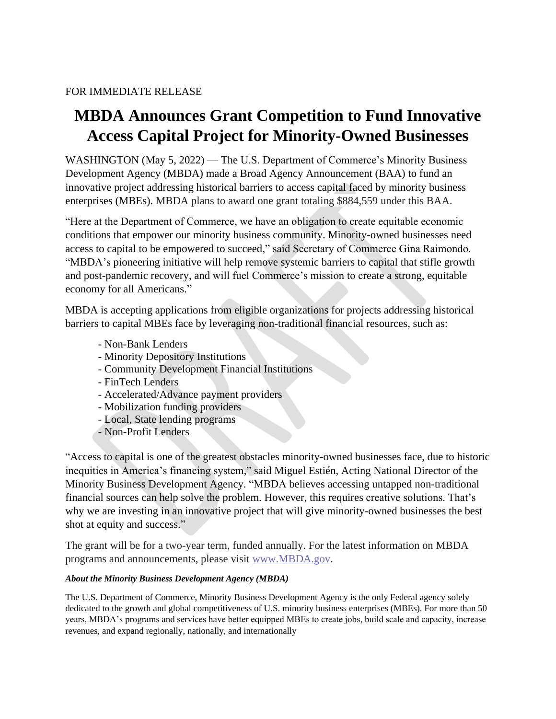## FOR IMMEDIATE RELEASE

## **MBDA Announces Grant Competition to Fund Innovative Access Capital Project for Minority-Owned Businesses**

WASHINGTON (May 5, 2022) — The U.S. Department of Commerce's Minority Business Development Agency (MBDA) made a Broad Agency Announcement (BAA) to fund an innovative project addressing historical barriers to access capital faced by minority business enterprises (MBEs). MBDA plans to award one grant totaling \$884,559 under this BAA.

"Here at the Department of Commerce, we have an obligation to create equitable economic conditions that empower our minority business community. Minority-owned businesses need access to capital to be empowered to succeed," said Secretary of Commerce Gina Raimondo. "MBDA's pioneering initiative will help remove systemic barriers to capital that stifle growth and post-pandemic recovery, and will fuel Commerce's mission to create a strong, equitable economy for all Americans."

MBDA is accepting applications from eligible organizations for projects addressing historical barriers to capital MBEs face by leveraging non-traditional financial resources, such as:

- Non-Bank Lenders
- Minority Depository Institutions
- Community Development Financial Institutions
- FinTech Lenders
- Accelerated/Advance payment providers
- Mobilization funding providers
- Local, State lending programs
- Non-Profit Lenders

"Access to capital is one of the greatest obstacles minority-owned businesses face, due to historic inequities in America's financing system," said Miguel Estién, Acting National Director of the Minority Business Development Agency. "MBDA believes accessing untapped non-traditional financial sources can help solve the problem. However, this requires creative solutions. That's why we are investing in an innovative project that will give minority-owned businesses the best shot at equity and success."

The grant will be for a two-year term, funded annually. For the latest information on MBDA programs and announcements, please visit [www.MBDA.gov.](http://www.mbda.gov/)

## *About the Minority Business Development Agency (MBDA)*

The U.S. Department of Commerce, Minority Business Development Agency is the only Federal agency solely dedicated to the growth and global competitiveness of U.S. minority business enterprises (MBEs). For more than 50 years, MBDA's programs and services have better equipped MBEs to create jobs, build scale and capacity, increase revenues, and expand regionally, nationally, and internationally